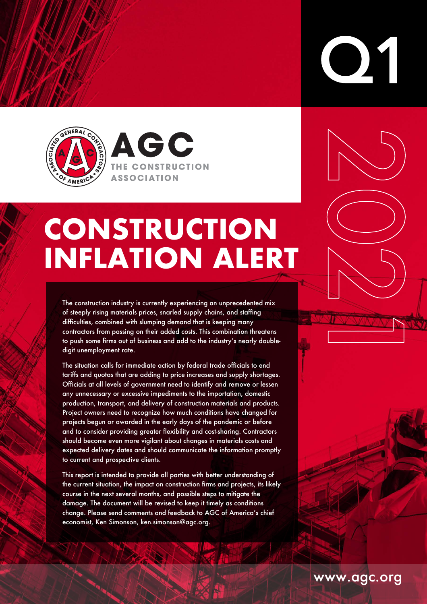

**AGC** THE CONSTRUCTION **ASSOCIATION** 

# **CONSTRUCTION INFLATION ALERT**

The construction industry is currently experiencing an unprecedented mix of steeply rising materials prices, snarled supply chains, and staffing difficulties, combined with slumping demand that is keeping many contractors from passing on their added costs. This combination threatens to push some firms out of business and add to the industry's nearly doubledigit unemployment rate.

The situation calls for immediate action by federal trade officials to end tariffs and quotas that are adding to price increases and supply shortages. Officials at all levels of government need to identify and remove or lessen any unnecessary or excessive impediments to the importation, domestic production, transport, and delivery of construction materials and products. Project owners need to recognize how much conditions have changed for projects begun or awarded in the early days of the pandemic or before and to consider providing greater flexibility and cost-sharing. Contractors should become even more vigilant about changes in materials costs and expected delivery dates and should communicate the information promptly to current and prospective clients.

This report is intended to provide all parties with better understanding of the current situation, the impact on construction firms and projects, its likely course in the next several months, and possible steps to mitigate the damage. The document will be revised to keep it timely as conditions change. Please send comments and feedback to AGC of America's chief economist, Ken Simonson, ken.simonson@agc.org.

www.agc.org

**ON**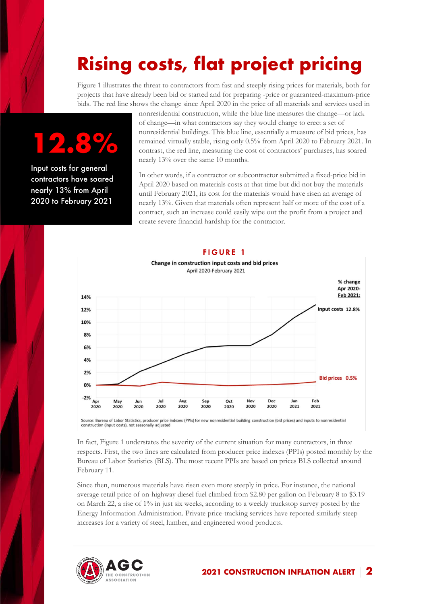## **Rising costs, flat project pricing**

Figure 1 illustrates the threat to contractors from fast and steeply rising prices for materials, both for projects that have already been bid or started and for preparing -price or guaranteed-maximum-price bids. The red line shows the change since April 2020 in the price of all materials and services used in

# **12.8%**

Input costs for general contractors have soared nearly 13% from April 2020 to February 2021

nonresidential construction, while the blue line measures the change—or lack of change—in what contractors say they would charge to erect a set of nonresidential buildings. This blue line, essentially a measure of bid prices, has remained virtually stable, rising only 0.5% from April 2020 to February 2021. In contrast, the red line, measuring the cost of contractors' purchases, has soared nearly 13% over the same 10 months.

In other words, if a contractor or subcontractor submitted a fixed-price bid in April 2020 based on materials costs at that time but did not buy the materials until February 2021, its cost for the materials would have risen an average of nearly 13%. Given that materials often represent half or more of the cost of a contract, such an increase could easily wipe out the profit from a project and create severe financial hardship for the contractor.



### FIGURE 1

Change in construction input costs and bid prices April 2020-February 2021

Source: Bureau of Labor Statistics, producer price indexes (PPIs) for new nonresidential building construction (bid prices) and inputs to nonresidential construction (input costs), not seasonally adjusted

In fact, Figure 1 understates the severity of the current situation for many contractors, in three respects. First, the two lines are calculated from producer price indexes (PPIs) posted monthly by the Bureau of Labor Statistics (BLS). The most recent PPIs are based on prices BLS collected around February 11.

Since then, numerous materials have risen even more steeply in price. For instance, the national average retail price of on-highway diesel fuel climbed from \$2.80 per gallon on February 8 to \$3.19 on March 22, a rise of 1% in just six weeks, according to a weekly truckstop survey posted by the Energy Information Administration. Private price-tracking services have reported similarly steep increases for a variety of steel, lumber, and engineered wood products.

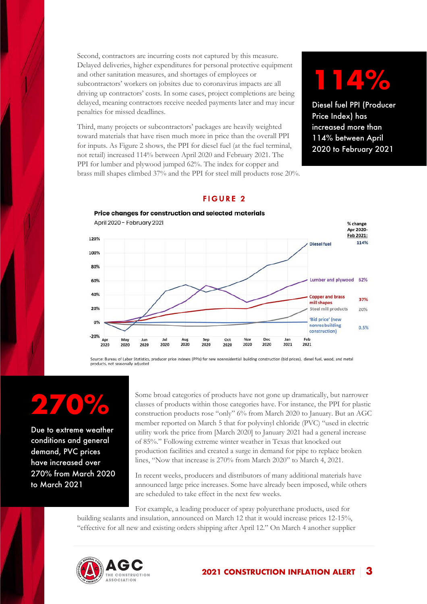Second, contractors are incurring costs not captured by this measure. Delayed deliveries, higher expenditures for personal protective equipment and other sanitation measures, and shortages of employees or subcontractors' workers on jobsites due to coronavirus impacts are all driving up contractors' costs. In some cases, project completions are being delayed, meaning contractors receive needed payments later and may incur penalties for missed deadlines.

Third, many projects or subcontractors' packages are heavily weighted toward materials that have risen much more in price than the overall PPI for inputs. As Figure 2 shows, the PPI for diesel fuel (at the fuel terminal, not retail) increased 114% between April 2020 and February 2021. The PPI for lumber and plywood jumped 62%. The index for copper and brass mill shapes climbed 37% and the PPI for steel mill products rose 20%.

## **114%**

Diesel fuel PPI (Producer Price Index) has increased more than 114% between April 2020 to February 2021

#### FIGURE 2



Source: Bureau of Labor Statistics, producer price indexes (PPIs) for new nonresidential building construction (bid prices), diesel fuel, wood, and metal products, not seasonally adjusted

# **270%**

Due to extreme weather conditions and general demand, PVC prices have increased over 270% from March 2020 to March 2021

Some broad categories of products have not gone up dramatically, but narrower classes of products within those categories have. For instance, the PPI for plastic construction products rose "only" 6% from March 2020 to January. But an AGC member reported on March 5 that for polyvinyl chloride (PVC) "used in electric utility work the price from [March 2020] to January 2021 had a general increase of 85%." Following extreme winter weather in Texas that knocked out production facilities and created a surge in demand for pipe to replace broken lines, "Now that increase is 270% from March 2020" to March 4, 2021.

In recent weeks, producers and distributors of many additional materials have announced large price increases. Some have already been imposed, while others are scheduled to take effect in the next few weeks.

For example, a leading producer of spray polyurethane products, used for building sealants and insulation, announced on March 12 that it would increase prices 12-15%, "effective for all new and existing orders shipping after April 12." On March 4 another supplier

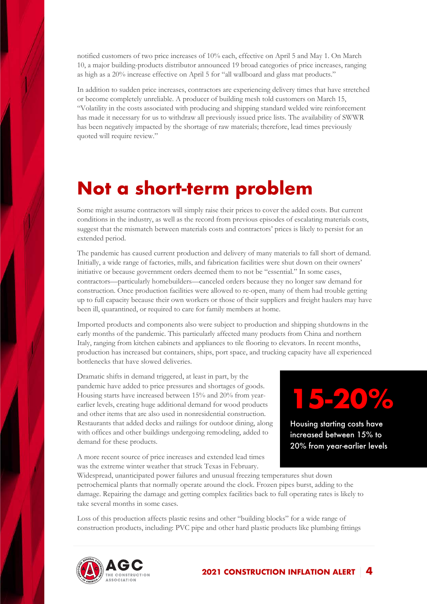notified customers of two price increases of 10% each, effective on April 5 and May 1. On March 10, a major building-products distributor announced 19 broad categories of price increases, ranging as high as a 20% increase effective on April 5 for "all wallboard and glass mat products."

In addition to sudden price increases, contractors are experiencing delivery times that have stretched or become completely unreliable. A producer of building mesh told customers on March 15, "Volatility in the costs associated with producing and shipping standard welded wire reinforcement has made it necessary for us to withdraw all previously issued price lists. The availability of SWWR has been negatively impacted by the shortage of raw materials; therefore, lead times previously quoted will require review."

### **Not a short-term problem**

Some might assume contractors will simply raise their prices to cover the added costs. But current conditions in the industry, as well as the record from previous episodes of escalating materials costs, suggest that the mismatch between materials costs and contractors' prices is likely to persist for an extended period.

The pandemic has caused current production and delivery of many materials to fall short of demand. Initially, a wide range of factories, mills, and fabrication facilities were shut down on their owners' initiative or because government orders deemed them to not be "essential." In some cases, contractors—particularly homebuilders—canceled orders because they no longer saw demand for construction. Once production facilities were allowed to re-open, many of them had trouble getting up to full capacity because their own workers or those of their suppliers and freight haulers may have been ill, quarantined, or required to care for family members at home.

Imported products and components also were subject to production and shipping shutdowns in the early months of the pandemic. This particularly affected many products from China and northern Italy, ranging from kitchen cabinets and appliances to tile flooring to elevators. In recent months, production has increased but containers, ships, port space, and trucking capacity have all experienced bottlenecks that have slowed deliveries.

Dramatic shifts in demand triggered, at least in part, by the pandemic have added to price pressures and shortages of goods. Housing starts have increased between 15% and 20% from yearearlier levels, creating huge additional demand for wood products and other items that are also used in nonresidential construction. Restaurants that added decks and railings for outdoor dining, along with offices and other buildings undergoing remodeling, added to demand for these products.

A more recent source of price increases and extended lead times was the extreme winter weather that struck Texas in February.



Housing starting costs have increased between 15% to 20% from year-earlier levels

Widespread, unanticipated power failures and unusual freezing temperatures shut down petrochemical plants that normally operate around the clock. Frozen pipes burst, adding to the damage. Repairing the damage and getting complex facilities back to full operating rates is likely to take several months in some cases.

Loss of this production affects plastic resins and other "building blocks" for a wide range of construction products, including: PVC pipe and other hard plastic products like plumbing fittings

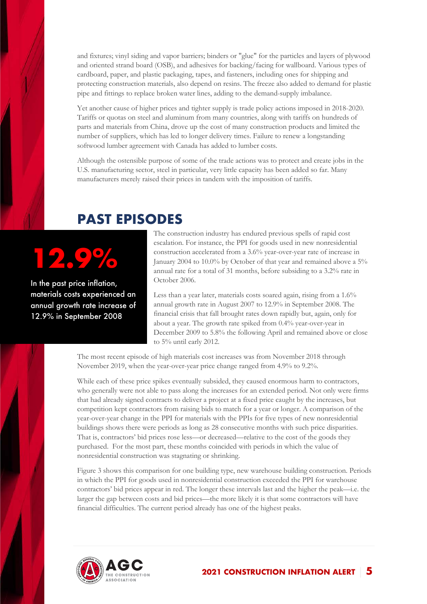and fixtures; vinyl siding and vapor barriers; binders or "glue" for the particles and layers of plywood and oriented strand board (OSB), and adhesives for backing/facing for wallboard. Various types of cardboard, paper, and plastic packaging, tapes, and fasteners, including ones for shipping and protecting construction materials, also depend on resins. The freeze also added to demand for plastic pipe and fittings to replace broken water lines, adding to the demand-supply imbalance.

Yet another cause of higher prices and tighter supply is trade policy actions imposed in 2018-2020. Tariffs or quotas on steel and aluminum from many countries, along with tariffs on hundreds of parts and materials from China, drove up the cost of many construction products and limited the number of suppliers, which has led to longer delivery times. Failure to renew a longstanding softwood lumber agreement with Canada has added to lumber costs.

Although the ostensible purpose of some of the trade actions was to protect and create jobs in the U.S. manufacturing sector, steel in particular, very little capacity has been added so far. Many manufacturers merely raised their prices in tandem with the imposition of tariffs.

### **PAST EPISODES**

# **12.9%**

In the past price inflation, materials costs experienced an annual growth rate increase of 12.9% in September 2008

The construction industry has endured previous spells of rapid cost escalation. For instance, the PPI for goods used in new nonresidential construction accelerated from a 3.6% year-over-year rate of increase in January 2004 to 10.0% by October of that year and remained above a 5% annual rate for a total of 31 months, before subsiding to a 3.2% rate in October 2006.

Less than a year later, materials costs soared again, rising from a 1.6% annual growth rate in August 2007 to 12.9% in September 2008. The financial crisis that fall brought rates down rapidly but, again, only for about a year. The growth rate spiked from 0.4% year-over-year in December 2009 to 5.8% the following April and remained above or close to 5% until early 2012.

The most recent episode of high materials cost increases was from November 2018 through November 2019, when the year-over-year price change ranged from 4.9% to 9.2%.

While each of these price spikes eventually subsided, they caused enormous harm to contractors, who generally were not able to pass along the increases for an extended period. Not only were firms that had already signed contracts to deliver a project at a fixed price caught by the increases, but competition kept contractors from raising bids to match for a year or longer. A comparison of the year-over-year change in the PPI for materials with the PPIs for five types of new nonresidential buildings shows there were periods as long as 28 consecutive months with such price disparities. That is, contractors' bid prices rose less—or decreased—relative to the cost of the goods they purchased. For the most part, these months coincided with periods in which the value of nonresidential construction was stagnating or shrinking.

Figure 3 shows this comparison for one building type, new warehouse building construction. Periods in which the PPI for goods used in nonresidential construction exceeded the PPI for warehouse contractors' bid prices appear in red. The longer these intervals last and the higher the peak—i.e. the larger the gap between costs and bid prices—the more likely it is that some contractors will have financial difficulties. The current period already has one of the highest peaks.

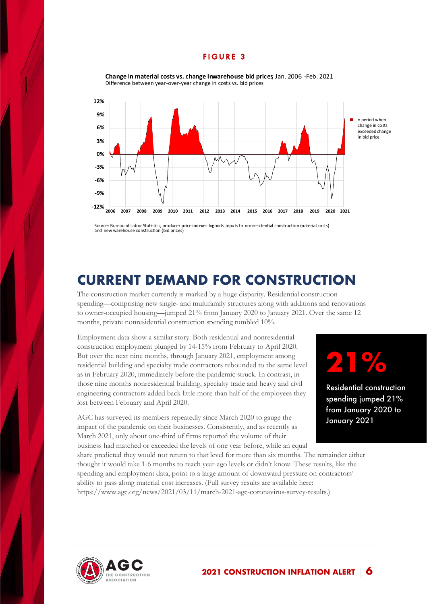#### FIGURE 3



**Change in material costs vs. change in warehouse bid prices**, Jan. 2006 -Feb. 2021 Difference between year-over-year change in costs vs. bid prices

Source: Bureau of Labor Statistics, producer price indexes fogoods inputs to nonresidential construction (naterial costs)<br>and new warehouse construction (bid prices)

### **CURRENT DEMAND FOR CONSTRUCTION**

The construction market currently is marked by a huge disparity. Residential construction spending—comprising new single- and multifamily structures along with additions and renovations to owner-occupied housing—jumped 21% from January 2020 to January 2021. Over the same 12 months, private nonresidential construction spending tumbled 10%.

Employment data show a similar story. Both residential and nonresidential construction employment plunged by 14-15% from February to April 2020. But over the next nine months, through January 2021, employment among residential building and specialty trade contractors rebounded to the same level as in February 2020, immediately before the pandemic struck. In contrast, in those nine months nonresidential building, specialty trade and heavy and civil engineering contractors added back little more than half of the employees they lost between February and April 2020.

AGC has surveyed its members repeatedly since March 2020 to gauge the impact of the pandemic on their businesses. Consistently, and as recently as March 2021, only about one-third of firms reported the volume of their business had matched or exceeded the levels of one year before, while an equal

## **21%**

Residential construction spending jumped 21% from January 2020 to January 2021

share predicted they would not return to that level for more than six months. The remainder either thought it would take 1-6 months to reach year-ago levels or didn't know. These results, like the spending and employment data, point to a large amount of downward pressure on contractors' ability to pass along material cost increases. (Full survey results are available here: https://www.agc.org/news/2021/03/11/march-2021-agc-coronavirus-survey-results.)

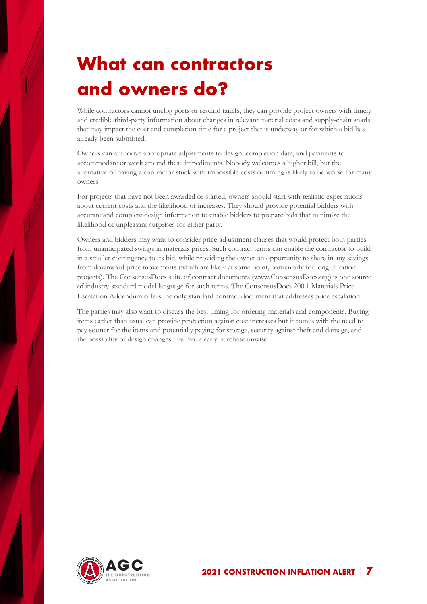### **What can contractors and owners do?**

While contractors cannot unclog ports or rescind tariffs, they can provide project owners with timely and credible third-party information about changes in relevant material costs and supply-chain snarls that may impact the cost and completion time for a project that is underway or for which a bid has already been submitted.

Owners can authorize appropriate adjustments to design, completion date, and payments to accommodate or work around these impediments. Nobody welcomes a higher bill, but the alternative of having a contractor stuck with impossible costs or timing is likely to be worse for many owners.

For projects that have not been awarded or started, owners should start with realistic expectations about current costs and the likelihood of increases. They should provide potential bidders with accurate and complete design information to enable bidders to prepare bids that minimize the likelihood of unpleasant surprises for either party.

Owners and bidders may want to consider price-adjustment clauses that would protect both parties from unanticipated swings in materials prices. Such contract terms can enable the contractor to build in a smaller contingency to its bid, while providing the owner an opportunity to share in any savings from downward price movements (which are likely at some point, particularly for long-duration projects). The ConsensusDocs suite of contract documents (www.ConsensusDocs.org) is one source of industry-standard model language for such terms. The ConsensusDocs 200.1 Materials Price Escalation Addendum offers the only standard contract document that addresses price escalation.

The parties may also want to discuss the best timing for ordering materials and components. Buying items earlier than usual can provide protection against cost increases but it comes with the need to pay sooner for the items and potentially paying for storage, security against theft and damage, and the possibility of design changes that make early purchase unwise.